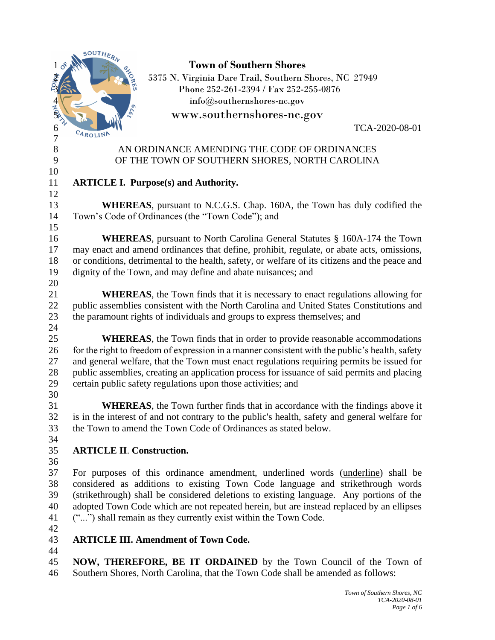|                  | SOUTHERN                                                                                       |
|------------------|------------------------------------------------------------------------------------------------|
| $\delta^s$       | <b>Town of Southern Shores</b>                                                                 |
|                  | 5375 N. Virginia Dare Trail, Southern Shores, NC 27949                                         |
|                  | Phone 252-261-2394 / Fax 252-255-0876                                                          |
|                  | info@southernshores-nc.gov                                                                     |
| $\frac{4}{5}$    | www.southernshores-nc.gov                                                                      |
| 6                | TCA-2020-08-01                                                                                 |
| $\boldsymbol{7}$ | CAROLINA                                                                                       |
| $8\,$            | AN ORDINANCE AMENDING THE CODE OF ORDINANCES                                                   |
| 9                | OF THE TOWN OF SOUTHERN SHORES, NORTH CAROLINA                                                 |
| 10               |                                                                                                |
| 11               | <b>ARTICLE I. Purpose(s) and Authority.</b>                                                    |
| 12               |                                                                                                |
| 13               | <b>WHEREAS</b> , pursuant to N.C.G.S. Chap. 160A, the Town has duly codified the               |
| 14               | Town's Code of Ordinances (the "Town Code"); and                                               |
| 15               |                                                                                                |
| 16               | <b>WHEREAS</b> , pursuant to North Carolina General Statutes § 160A-174 the Town               |
| 17               | may enact and amend ordinances that define, prohibit, regulate, or abate acts, omissions,      |
| 18               | or conditions, detrimental to the health, safety, or welfare of its citizens and the peace and |
| 19               | dignity of the Town, and may define and abate nuisances; and                                   |
| 20               |                                                                                                |
| 21               | <b>WHEREAS</b> , the Town finds that it is necessary to enact regulations allowing for         |
| 22               | public assemblies consistent with the North Carolina and United States Constitutions and       |
| 23               | the paramount rights of individuals and groups to express themselves; and                      |
| 24               |                                                                                                |
| 25               | <b>WHEREAS</b> , the Town finds that in order to provide reasonable accommodations             |
| 26               | for the right to freedom of expression in a manner consistent with the public's health, safety |
| 27               | and general welfare, that the Town must enact regulations requiring permits be issued for      |
| 28               | public assemblies, creating an application process for issuance of said permits and placing    |
| 29               | certain public safety regulations upon those activities; and                                   |
| 30               |                                                                                                |
| 31               | <b>WHEREAS</b> , the Town further finds that in accordance with the findings above it          |
| 32               | is in the interest of and not contrary to the public's health, safety and general welfare for  |
| 33               | the Town to amend the Town Code of Ordinances as stated below.                                 |
| 34               |                                                                                                |
| 35               | <b>ARTICLE II. Construction.</b>                                                               |
| 36               |                                                                                                |
| 37               | For purposes of this ordinance amendment, underlined words (underline) shall be                |
| 38               | considered as additions to existing Town Code language and strikethrough words                 |
| 39               | (strikethrough) shall be considered deletions to existing language. Any portions of the        |
| 40               | adopted Town Code which are not repeated herein, but are instead replaced by an ellipses       |
| 41               | ("") shall remain as they currently exist within the Town Code.                                |
| 42               |                                                                                                |
| 43               | <b>ARTICLE III. Amendment of Town Code.</b>                                                    |
| 44               |                                                                                                |
| 45               | NOW, THEREFORE, BE IT ORDAINED by the Town Council of the Town of                              |
| 46               | Southern Shores, North Carolina, that the Town Code shall be amended as follows:               |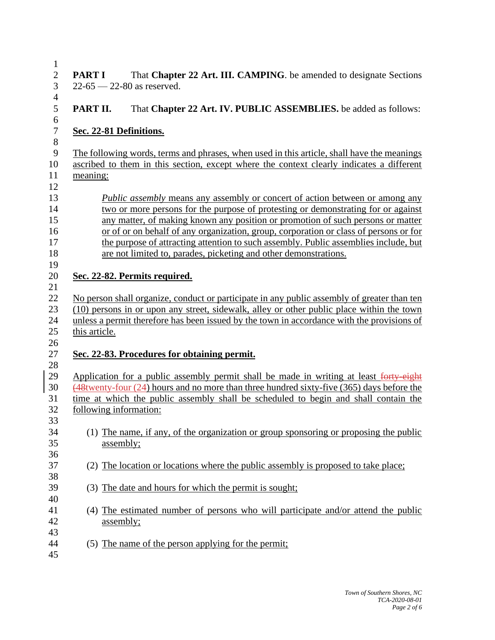| $\mathbf{1}$              |                                                                                                                          |
|---------------------------|--------------------------------------------------------------------------------------------------------------------------|
| $\sqrt{2}$<br>3           | That Chapter 22 Art. III. CAMPING. be amended to designate Sections<br><b>PART I</b><br>$22 - 65 - 22 - 80$ as reserved. |
| $\overline{4}$            |                                                                                                                          |
| 5<br>6                    | That Chapter 22 Art. IV. PUBLIC ASSEMBLIES. be added as follows:<br>PART II.                                             |
| $\boldsymbol{7}$<br>$8\,$ | Sec. 22-81 Definitions.                                                                                                  |
| 9                         | The following words, terms and phrases, when used in this article, shall have the meanings                               |
| 10                        | ascribed to them in this section, except where the context clearly indicates a different                                 |
| 11                        | meaning:                                                                                                                 |
| 12                        |                                                                                                                          |
| 13                        | <i>Public assembly</i> means any assembly or concert of action between or among any                                      |
| 14                        | two or more persons for the purpose of protesting or demonstrating for or against                                        |
| 15                        | any matter, of making known any position or promotion of such persons or matter                                          |
| 16                        | or of or on behalf of any organization, group, corporation or class of persons or for                                    |
| 17                        |                                                                                                                          |
|                           | the purpose of attracting attention to such assembly. Public assemblies include, but                                     |
| 18                        | are not limited to, parades, picketing and other demonstrations.                                                         |
| 19                        |                                                                                                                          |
| 20                        | Sec. 22-82. Permits required.                                                                                            |
| 21                        |                                                                                                                          |
| 22                        | No person shall organize, conduct or participate in any public assembly of greater than ten                              |
| 23                        | (10) persons in or upon any street, sidewalk, alley or other public place within the town                                |
| 24                        | unless a permit therefore has been issued by the town in accordance with the provisions of                               |
| 25                        | this article.                                                                                                            |
| 26                        |                                                                                                                          |
| 27                        | Sec. 22-83. Procedures for obtaining permit.                                                                             |
| 28                        |                                                                                                                          |
| 29                        | Application for a public assembly permit shall be made in writing at least forty-eight                                   |
| 30                        | $\frac{48}{48}$ (48 twenty-four (24) hours and no more than three hundred sixty-five (365) days before the               |
| 31                        | time at which the public assembly shall be scheduled to begin and shall contain the                                      |
| 32                        | following information:                                                                                                   |
| 33                        |                                                                                                                          |
| 34                        | (1) The name, if any, of the organization or group sponsoring or proposing the public                                    |
| 35                        | assembly;                                                                                                                |
|                           |                                                                                                                          |
| 36                        |                                                                                                                          |
| 37                        | (2) The location or locations where the public assembly is proposed to take place;                                       |
| 38                        |                                                                                                                          |
| 39                        | (3) The date and hours for which the permit is sought;                                                                   |
| 40                        |                                                                                                                          |
| 41                        | (4) The estimated number of persons who will participate and/or attend the public                                        |
| 42                        | <u>assembly;</u>                                                                                                         |
| 43                        |                                                                                                                          |
| 44                        | (5) The name of the person applying for the permit;                                                                      |
|                           |                                                                                                                          |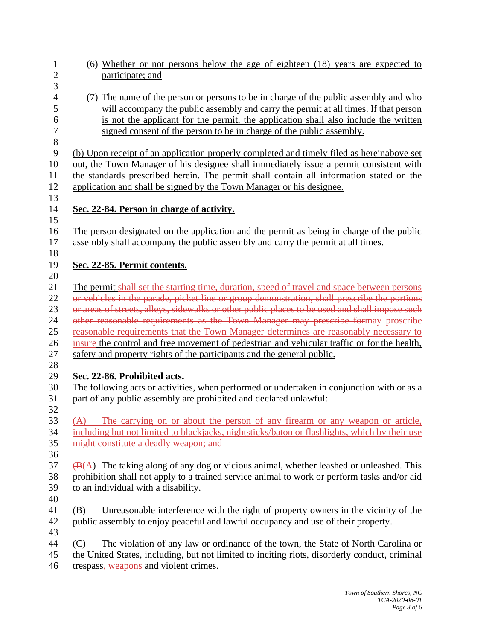| 1<br>$\overline{c}$ | (6) Whether or not persons below the age of eighteen (18) years are expected to<br>participate; and |
|---------------------|-----------------------------------------------------------------------------------------------------|
| 3                   |                                                                                                     |
| $\overline{4}$      | (7) The name of the person or persons to be in charge of the public assembly and who                |
| 5                   | will accompany the public assembly and carry the permit at all times. If that person                |
| 6                   | is not the applicant for the permit, the application shall also include the written                 |
| $\tau$              | signed consent of the person to be in charge of the public assembly.                                |
| $8\,$               |                                                                                                     |
| 9                   | (b) Upon receipt of an application properly completed and timely filed as hereinabove set           |
| 10                  | out, the Town Manager of his designee shall immediately issue a permit consistent with              |
| 11                  | the standards prescribed herein. The permit shall contain all information stated on the             |
| 12                  | application and shall be signed by the Town Manager or his designee.                                |
| 13                  |                                                                                                     |
| 14                  | Sec. 22-84. Person in charge of activity.                                                           |
| 15                  |                                                                                                     |
| 16                  | The person designated on the application and the permit as being in charge of the public            |
| 17                  | assembly shall accompany the public assembly and carry the permit at all times.                     |
| 18                  |                                                                                                     |
| 19                  | Sec. 22-85. Permit contents.                                                                        |
| 20                  |                                                                                                     |
| 21                  | The permit shall set the starting time, duration, speed of travel and space between persons         |
| 22                  | or vehicles in the parade, picket line or group demonstration, shall prescribe the portions         |
| 23                  | or areas of streets, alleys, sidewalks or other public places to be used and shall impose such      |
| 24                  | other reasonable requirements as the Town Manager may prescribe formay proscribe                    |
| 25                  | reasonable requirements that the Town Manager determines are reasonably necessary to                |
| 26                  | insure the control and free movement of pedestrian and vehicular traffic or for the health,         |
| 27                  | safety and property rights of the participants and the general public.                              |
| 28                  |                                                                                                     |
| 29                  | Sec. 22-86. Prohibited acts.                                                                        |
| 30                  | The following acts or activities, when performed or undertaken in conjunction with or as a          |
| 31                  | part of any public assembly are prohibited and declared unlawful:                                   |
| 32                  |                                                                                                     |
| 33                  | $(A)$ The carrying on or about the person of any firearm or any weapon or article,                  |
| 34                  | including but not limited to blackjacks, nightsticks/baton or flashlights, which by their use       |
| 35                  | might constitute a deadly weapon; and                                                               |
| 36                  |                                                                                                     |
| 37                  | $\bigoplus$ (A) The taking along of any dog or vicious animal, whether leashed or unleashed. This   |
| 38                  | prohibition shall not apply to a trained service animal to work or perform tasks and/or aid         |
| 39                  | to an individual with a disability.                                                                 |
| 40                  |                                                                                                     |
| 41                  | Unreasonable interference with the right of property owners in the vicinity of the<br>(B)           |
| 42                  | public assembly to enjoy peaceful and lawful occupancy and use of their property.                   |
| 43                  |                                                                                                     |
| 44                  | The violation of any law or ordinance of the town, the State of North Carolina or<br>(C)            |
| 45                  | the United States, including, but not limited to inciting riots, disorderly conduct, criminal       |
| 46                  | trespass, weapons and violent crimes.                                                               |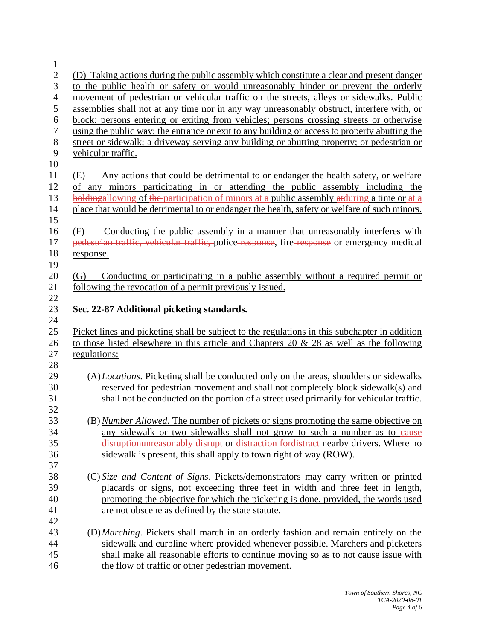| $\mathbf{1}$   |                                                                                                                                                                            |
|----------------|----------------------------------------------------------------------------------------------------------------------------------------------------------------------------|
| $\overline{c}$ | (D) Taking actions during the public assembly which constitute a clear and present danger                                                                                  |
| 3              | to the public health or safety or would unreasonably hinder or prevent the orderly                                                                                         |
| $\overline{4}$ | movement of pedestrian or vehicular traffic on the streets, alleys or sidewalks. Public                                                                                    |
| 5              | assemblies shall not at any time nor in any way unreasonably obstruct, interfere with, or                                                                                  |
| 6              | block: persons entering or exiting from vehicles; persons crossing streets or otherwise                                                                                    |
| $\overline{7}$ | using the public way; the entrance or exit to any building or access to property abutting the                                                                              |
| 8              | street or sidewalk; a driveway serving any building or abutting property; or pedestrian or                                                                                 |
| 9              | vehicular traffic.                                                                                                                                                         |
| 10             |                                                                                                                                                                            |
| 11<br>12       | Any actions that could be detrimental to or endanger the health safety, or welfare<br>(E)<br>of any minors participating in or attending the public assembly including the |
| 13             | holdingallowing of the participation of minors at a public assembly atduring a time or at a                                                                                |
| 14             | place that would be detrimental to or endanger the health, safety or welfare of such minors.                                                                               |
| 15             |                                                                                                                                                                            |
| 16             | Conducting the public assembly in a manner that unreasonably interferes with<br>(F)                                                                                        |
| 17             | pedestrian traffic, vehicular traffic, police response, fire response or emergency medical                                                                                 |
| 18             | response.                                                                                                                                                                  |
| 19             |                                                                                                                                                                            |
| 20             | Conducting or participating in a public assembly without a required permit or<br>(G)                                                                                       |
| 21             | following the revocation of a permit previously issued.                                                                                                                    |
| 22             |                                                                                                                                                                            |
| 23             | Sec. 22-87 Additional picketing standards.                                                                                                                                 |
|                |                                                                                                                                                                            |
| 24             |                                                                                                                                                                            |
| 25             | Picket lines and picketing shall be subject to the regulations in this subchapter in addition                                                                              |
| 26             | to those listed elsewhere in this article and Chapters 20 $\&$ 28 as well as the following                                                                                 |
| 27             | regulations:                                                                                                                                                               |
| 28             |                                                                                                                                                                            |
| 29             | (A) Locations. Picketing shall be conducted only on the areas, shoulders or sidewalks                                                                                      |
| 30             | reserved for pedestrian movement and shall not completely block sidewalk(s) and                                                                                            |
| 31             | shall not be conducted on the portion of a street used primarily for vehicular traffic.                                                                                    |
| 32             |                                                                                                                                                                            |
| 33             | (B) Number Allowed. The number of pickets or signs promoting the same objective on                                                                                         |
| 34             | any sidewalk or two sidewalks shall not grow to such a number as to eause                                                                                                  |
| 35             | disruption unreasonably disrupt or distraction for distract nearby drivers. Where no                                                                                       |
| 36             | sidewalk is present, this shall apply to town right of way (ROW).                                                                                                          |
| 37             |                                                                                                                                                                            |
| 38             | (C) Size and Content of Signs. Pickets/demonstrators may carry written or printed                                                                                          |
| 39             | placards or signs, not exceeding three feet in width and three feet in length,                                                                                             |
| 40             | promoting the objective for which the picketing is done, provided, the words used                                                                                          |
| 41             | are not obscene as defined by the state statute.                                                                                                                           |
| 42             |                                                                                                                                                                            |
| 43             | (D) Marching. Pickets shall march in an orderly fashion and remain entirely on the                                                                                         |
| 44<br>45       | sidewalk and curbline where provided whenever possible. Marchers and picketers<br>shall make all reasonable efforts to continue moving so as to not cause issue with       |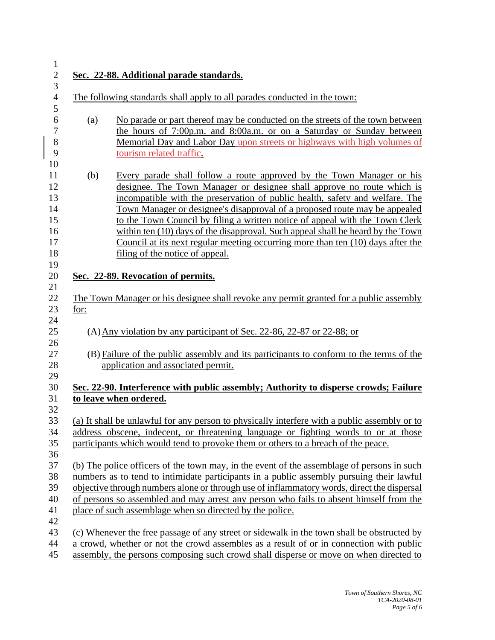**Sec. 22-88. Additional parade standards.** The following standards shall apply to all parades conducted in the town: (a) No parade or part thereof may be conducted on the streets of the town between the hours of 7:00p.m. and 8:00a.m. or on a Saturday or Sunday between Memorial Day and Labor Day upon streets or highways with high volumes of tourism related traffic. (b) Every parade shall follow a route approved by the Town Manager or his designee. The Town Manager or designee shall approve no route which is incompatible with the preservation of public health, safety and welfare. The Town Manager or designee's disapproval of a proposed route may be appealed to the Town Council by filing a written notice of appeal with the Town Clerk within ten (10) days of the disapproval. Such appeal shall be heard by the Town Council at its next regular meeting occurring more than ten (10) days after the **filing of the notice of appeal. Sec. 22-89. Revocation of permits.** The Town Manager or his designee shall revoke any permit granted for a public assembly for: (A)Any violation by any participant of Sec. 22-86, 22-87 or 22-88; or (B) Failure of the public assembly and its participants to conform to the terms of the application and associated permit. **Sec. 22-90. Interference with public assembly; Authority to disperse crowds; Failure to leave when ordered.** (a) It shall be unlawful for any person to physically interfere with a public assembly or to address obscene, indecent, or threatening language or fighting words to or at those participants which would tend to provoke them or others to a breach of the peace. (b) The police officers of the town may, in the event of the assemblage of persons in such numbers as to tend to intimidate participants in a public assembly pursuing their lawful objective through numbers alone or through use of inflammatory words, direct the dispersal of persons so assembled and may arrest any person who fails to absent himself from the place of such assemblage when so directed by the police. (c) Whenever the free passage of any street or sidewalk in the town shall be obstructed by a crowd, whether or not the crowd assembles as a result of or in connection with public assembly, the persons composing such crowd shall disperse or move on when directed to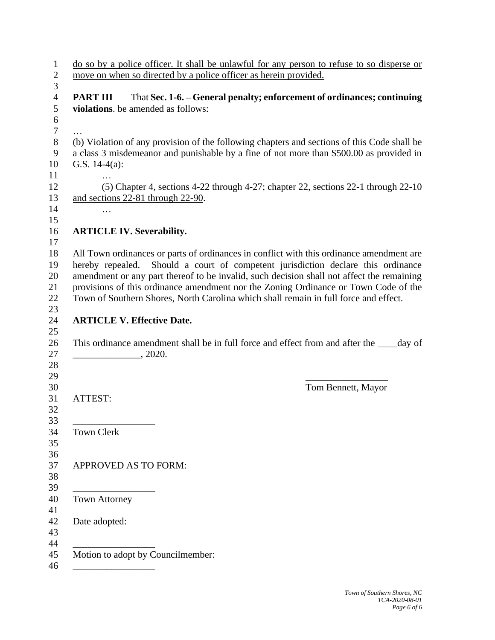|                                                       | do so by a police officer. It shall be unlawful for any person to refuse to so disperse or<br>move on when so directed by a police officer as herein provided.                         |
|-------------------------------------------------------|----------------------------------------------------------------------------------------------------------------------------------------------------------------------------------------|
| <b>PART III</b><br>violations. be amended as follows: | That Sec. 1-6. - General penalty; enforcement of ordinances; continuing                                                                                                                |
| G.S. $14-4(a)$ :                                      | (b) Violation of any provision of the following chapters and sections of this Code shall be<br>a class 3 misdemeanor and punishable by a fine of not more than \$500.00 as provided in |
| and sections 22-81 through 22-90.<br>$\cdots$         | (5) Chapter 4, sections 4-22 through 4-27; chapter 22, sections 22-1 through 22-10                                                                                                     |
| <b>ARTICLE IV. Severability.</b>                      |                                                                                                                                                                                        |
|                                                       | provisions of this ordinance amendment nor the Zoning Ordinance or Town Code of the                                                                                                    |
| <b>ARTICLE V. Effective Date.</b>                     | Town of Southern Shores, North Carolina which shall remain in full force and effect.                                                                                                   |
| $\frac{1}{2020}$ , 2020.                              | This ordinance amendment shall be in full force and effect from and after the _____day of                                                                                              |
| ATTEST:                                               | Tom Bennett, Mayor                                                                                                                                                                     |
| Town Clerk                                            |                                                                                                                                                                                        |
| APPROVED AS TO FORM:                                  |                                                                                                                                                                                        |
| Town Attorney                                         |                                                                                                                                                                                        |
| Date adopted:                                         |                                                                                                                                                                                        |